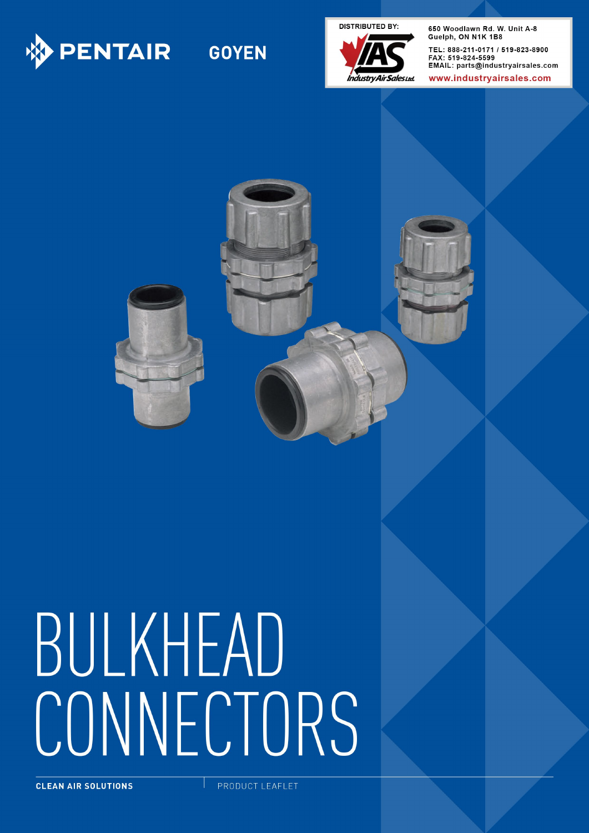

# **GOYEN**

**DISTRIBUTED BY:** 



650 Woodlawn Rd. W. Unit A-8 Guelph, ON N1K 1B8 TEL: 888-211-0171 / 519-823-8900 FAX: 519-824-5599 EMAIL: parts@industryairsales.com

www.industrvairsales.com





# BULKHEAD CONNECTORS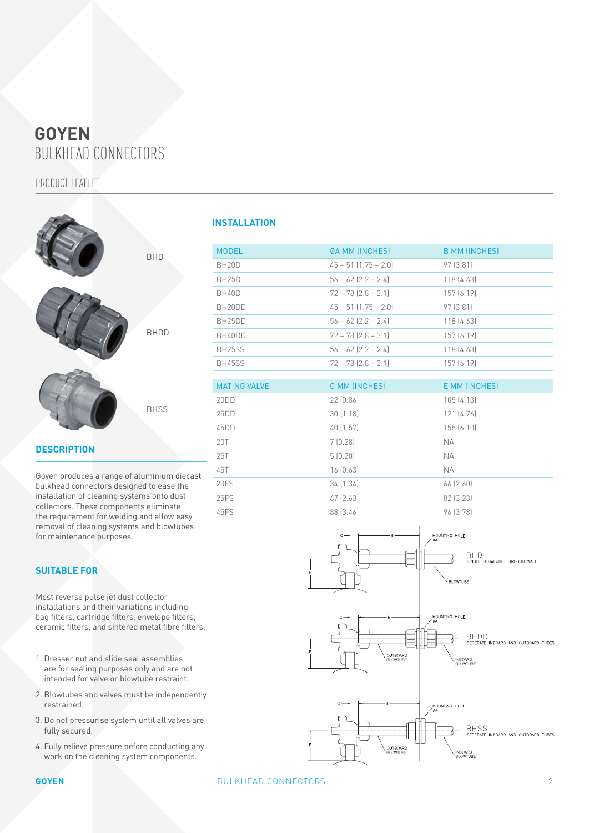# BULKHEAD CONNECTORS **GOYEN**

PRODUCT LEAFLET



## **DESCRIPTION**

Goyen produces a range of aluminium diecast bulkhead connectors designed to ease the installation of cleaning systems onto dust collectors. These components eliminate the requirement for welding and allow easy removal of cleaning systems and blowtubes for maintenance purposes.

#### **SUITABLE FOR**

Most reverse pulse jet dust collector installations and their variations including bag filters, cartridge filters, envelope filters, ceramic filters, and sintered metal fibre filters.

- 1. Dresser nut and slide seal assemblies are for sealing purposes only and are not intended for valve or blowtube restraint.
- 2. Blowtubes and valves must be independently restrained.
- 3. Do not pressurise system until all valves are fully secured.
- 4. Fully relieve pressure before conducting any work on the cleaning system components.

## **INSTALLATION**

| <b>MODEL</b>        | <b>ØA MM (INCHES)</b>    | <b>B MM (INCHES)</b> |
|---------------------|--------------------------|----------------------|
| BH <sub>20</sub> D  | $45 - 51$ $(1.75 - 2.0)$ | 97 [3.81]            |
| <b>BH25D</b>        | $56 - 62$ $[2.2 - 2.4]$  | 118[4.63]            |
| BH40D               | $72 - 78$ $[2.8 - 3.1]$  | 157(6.19)            |
| BH <sub>20</sub> DD | $45 - 51$ $(1.75 - 2.0)$ | 97 [3.81]            |
| BH <sub>25</sub> DD | $56 - 62$ $[2.2 - 2.4]$  | 118(4.63)            |
| BH40DD              | $72 - 78$ $[2.8 - 3.1]$  | 157 (6.19)           |
| BH <sub>25</sub> SS | $56 - 62$ $[2.2 - 2.4]$  | 118 (4.63)           |
| <b>BH45SS</b>       | $72 - 78$ $[2.8 - 3.1]$  | 157 (6.19)           |

| <b>MATING VALVE</b> | C MM (INCHES) | E MM (INCHES) |
|---------------------|---------------|---------------|
| 20DD                | 22(0.86)      | 105(4.13)     |
| 25DD                | 30(1.18)      | 121 (4.76)    |
| 45DD                | 40 (1.57)     | 155(6.10)     |
| 20T                 | 7(0.28)       | <b>NA</b>     |
| 25T                 | 5(0.20)       | <b>NA</b>     |
| 45T                 | 16(0.63)      | <b>NA</b>     |
| 20FS                | 34(1.34)      | 66 (2.60)     |
| 25FS                | 67(2.63)      | 82 [3.23]     |
| 45FS                | 88 (3.46)     | 96 [3.78]     |

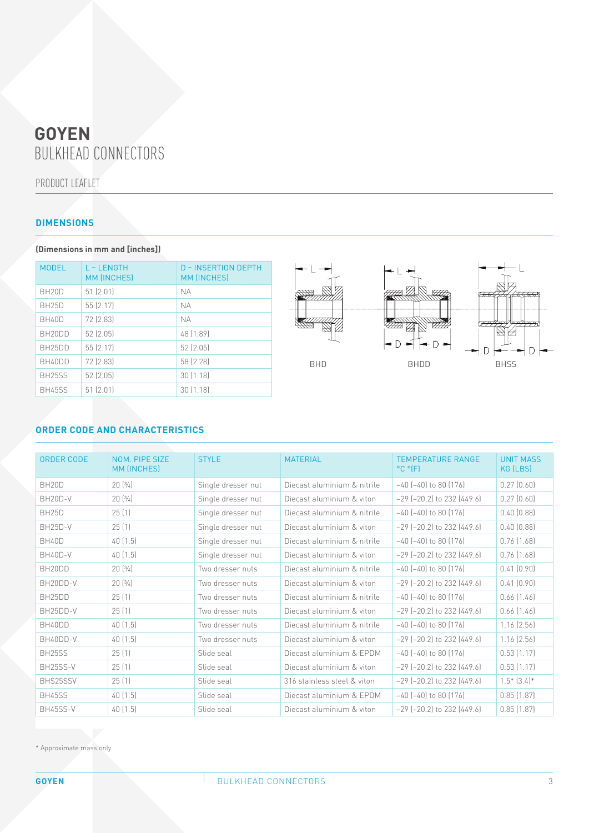# BULKHEAD CONNECTORS **GOYEN**

PRODUCT LEAFLET

## **DIMENSIONS**

**(Dimensions in mm and [inches])**

| <b>MODEL</b>        | L-LENGTH<br><b>MM (INCHES)</b> | <b>D-INSERTION DEPTH</b><br><b>MM (INCHES)</b> |
|---------------------|--------------------------------|------------------------------------------------|
| BH <sub>20</sub> D  | 51(2.01)                       | <b>NA</b>                                      |
| <b>BH25D</b>        | 55 (2.17)                      | <b>NA</b>                                      |
| <b>BH40D</b>        | 72 (2.83)                      | <b>NA</b>                                      |
| BH <sub>20</sub> DD | 52 (2.05)                      | 48 [1.89]                                      |
| BH <sub>25</sub> DD | 55 (2.17)                      | 52 (2.05)                                      |
| BH40DD              | 72 (2.83)                      | 58 (2.28)                                      |
| <b>BH25SS</b>       | 52(2.05)                       | 30(1.18)                                       |
| <b>BH45SS</b>       | 51(2.01)                       | 30(1.18)                                       |



## **ORDER CODE AND CHARACTERISTICS**

| ORDER CODE            | NOM. PIPE SIZE<br>MM (INCHES) | <b>STYLE</b>       | <b>MATERIAL</b>             | <b>TEMPERATURE RANGE</b><br>$^{\circ}$ C $^{\circ}$ <sup><math>(F)</math></sup> | <b>UNIT MASS</b><br>KG (LBS) |
|-----------------------|-------------------------------|--------------------|-----------------------------|---------------------------------------------------------------------------------|------------------------------|
| BH <sub>20</sub> D    | 20[3/4]                       | Single dresser nut | Diecast aluminium & nitrile | $-40$ $[-40]$ to 80 $[176]$                                                     | 0.27(0.60)                   |
| BH <sub>20</sub> D-V  | 20(3/4)                       | Single dresser nut | Diecast aluminium & viton   | $-29$ ( $-20.2$ ) to 232 (449.6)                                                | 0.27(0.60)                   |
| <b>BH25D</b>          | 25(1)                         | Single dresser nut | Diecast aluminium & nitrile | $-40$ $(-40)$ to 80 $(176)$                                                     | $0.40$ $(0.88)$              |
| <b>BH25D-V</b>        | 25(1)                         | Single dresser nut | Diecast aluminium & viton   | $-29$ ( $-20.2$ ) to 232 (449.6)                                                | $0.40$ $(0.88)$              |
| <b>BH40D</b>          | 40(1.5)                       | Single dresser nut | Diecast aluminium & nitrile | $-40$ $[-40]$ to 80 $[176]$                                                     | 0.76(1.68)                   |
| BH40D-V               | 40(1.5)                       | Single dresser nut | Diecast aluminium & viton   | $-29$ ( $-20.2$ ) to 232 (449.6)                                                | 0.76(1.68)                   |
| BH20DD                | 20(3/4)                       | Two dresser nuts   | Diecast aluminium & nitrile | $-40$ $(-40)$ to 80 $(176)$                                                     | 0.41(0.90)                   |
| BH20DD-V              | 20(3/4)                       | Two dresser nuts   | Diecast aluminium & viton   | $-29$ ( $-20.2$ ) to 232 (449.6)                                                | 0.41(0.90)                   |
| BH <sub>25</sub> DD   | 25(1)                         | Two dresser nuts   | Diecast aluminium & nitrile | $-40$ $(-40)$ to 80 $(176)$                                                     | $0.66$ $(1.46)$              |
| BH <sub>25</sub> DD-V | 25(1)                         | Two dresser nuts   | Diecast aluminium & viton   | $-29$ ( $-20.2$ ) to 232 (449.6)                                                | $0.66$ $(1.46)$              |
| BH40DD                | 40(1.5)                       | Two dresser nuts   | Diecast aluminium & nitrile | $-40$ $(-40)$ to 80 $(176)$                                                     | $1.16$ $(2.56)$              |
| BH40DD-V              | 40 (1.5)                      | Two dresser nuts   | Diecast aluminium & viton   | $-29$ $[-20.2]$ to 232 $[449.6]$                                                | $1.16$ $(2.56)$              |
| BH25SS                | 25(1)                         | Slide seal         | Diecast aluminium & EPDM    | $-40$ $(-40)$ to 80 $(176)$                                                     | 0.53(1.17)                   |
| BH25SS-V              | 25(1)                         | Slide seal         | Diecast aluminium & viton   | $-29$ ( $-20.2$ ) to 232 (449.6)                                                | 0.53(1.17)                   |
| BHS25SSV              | 25(1)                         | Slide seal         | 316 stainless steel & viton | $-29$ $(-20.2)$ to 232 $(449.6)$                                                | $1.5*$ $(3.4)*$              |
| <b>BH45SS</b>         | 40(1.5)                       | Slide seal         | Diecast aluminium & EPDM    | $-40$ $(-40)$ to 80 $(176)$                                                     | 0.85(1.87)                   |
| BH45SS-V              | 40(1.5)                       | Slide seal         | Diecast aluminium & viton   | $-29$ $[-20.2]$ to 232 $[449.6]$                                                | $0.85$ $(1.87)$              |

\* Approximate mass only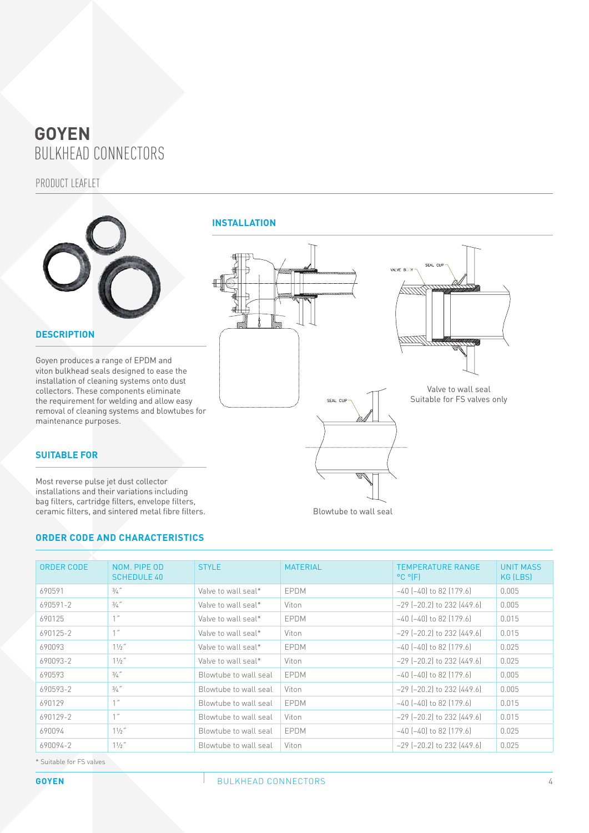# BULKHEAD CONNECTORS **GOYEN**

PRODUCT LEAFLET



### **DESCRIPTION**

Goyen produces a range of EPDM and viton bulkhead seals designed to ease the installation of cleaning systems onto dust collectors. These components eliminate the requirement for welding and allow easy removal of cleaning systems and blowtubes for maintenance purposes.

#### **SUITABLE FOR**

Most reverse pulse jet dust collector installations and their variations including bag filters, cartridge filters, envelope filters, ceramic filters, and sintered metal fibre filters.

#### **ORDER CODE AND CHARACTERISTICS**



Blowtube to wall seal

| ORDER CODE | NOM. PIPE OD<br><b>SCHEDULE 40</b> | <b>STYLE</b>          | <b>MATERIAL</b> | <b>TEMPERATURE RANGE</b><br>$^{\circ}$ C $^{\circ}$ (F) | <b>UNIT MASS</b><br>KG (LBS) |
|------------|------------------------------------|-----------------------|-----------------|---------------------------------------------------------|------------------------------|
| 690591     | $3/4$ "                            | Valve to wall seal*   | <b>EPDM</b>     | $-40$ ( $-40$ ) to 82 (179.6)                           | 0.005                        |
| 690591-2   | $3/4$ "                            | Valve to wall seal*   | Viton           | $-29$ $[-20.2]$ to 232 $[449.6]$                        | 0.005                        |
| 690125     | 1''                                | Valve to wall seal*   | EPDM            | $-40$ ( $-40$ ) to 82 (179.6)                           | 0.015                        |
| 690125-2   | 1''                                | Valve to wall seal*   | Viton           | $-29$ ( $-20.2$ ) to 232 (449.6)                        | 0.015                        |
| 690093     | 11/2"                              | Valve to wall seal*   | <b>FPDM</b>     | $-40$ $[-40]$ to 82 $[179.6]$                           | 0.025                        |
| 690093-2   | $1\frac{1}{2}$ "                   | Valve to wall seal*   | Viton           | $-29$ ( $-20.2$ ) to 232 (449.6)                        | 0.025                        |
| 690593     | $3/4$ "                            | Blowtube to wall seal | <b>FPDM</b>     | $-40$ ( $-40$ ) to 82 (179.6)                           | 0.005                        |
| 690593-2   | $3/4$ "                            | Blowtube to wall seal | Viton           | $-29$ ( $-20.2$ ) to 232 (449.6)                        | 0.005                        |
| 690129     | 1''                                | Blowtube to wall seal | EPDM            | $-40$ $[-40]$ to 82 $[179.6]$                           | 0.015                        |
| 690129-2   | 1''                                | Blowtube to wall seal | Viton           | $-29$ ( $-20.2$ ) to 232 (449.6)                        | 0.015                        |
| 690094     | $1\frac{1}{2}$ "                   | Blowtube to wall seal | EPDM            | $-40$ ( $-40$ ) to 82 (179.6)                           | 0.025                        |
| 690094-2   | $11/2$ "                           | Blowtube to wall seal | Viton           | $-29$ ( $-20.2$ ) to 232 (449.6)                        | 0.025                        |

\* Suitable for FS valves